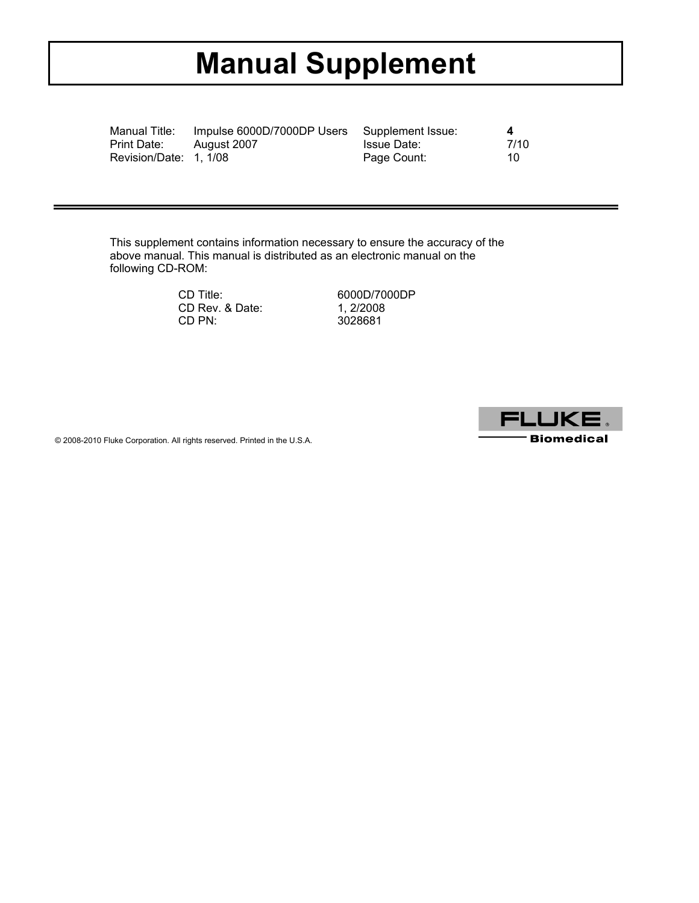# **Manual Supplement**

| Manual Title:          | Impulse 6000D/7000DP Users Supplement Issue: |             | 4    |
|------------------------|----------------------------------------------|-------------|------|
| Print Date:            | August 2007                                  | Issue Date: | 7/10 |
| Revision/Date: 1, 1/08 |                                              | Page Count: | 10.  |

This supplement contains information necessary to ensure the accuracy of the above manual. This manual is distributed as an electronic manual on the following CD-ROM:

| 6000D/7000DP |
|--------------|
| 1.2/2008     |
| 3028681      |
|              |



© 2008-2010 Fluke Corporation. All rights reserved. Printed in the U.S.A.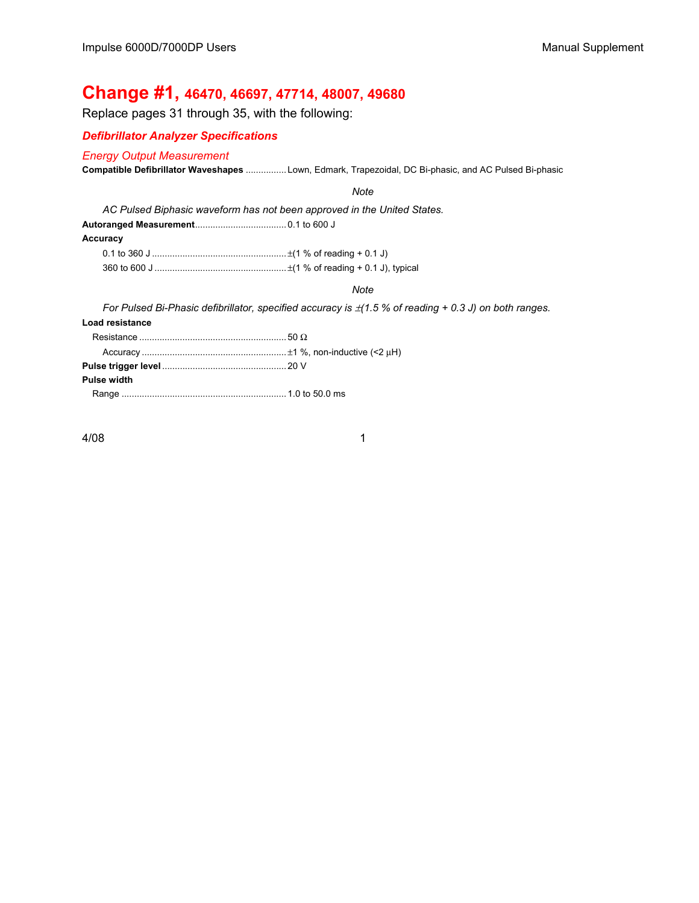## **Change #1, 46470, 46697, 47714, 48007, 49680**

Replace pages 31 through 35, with the following:

#### *Defibrillator Analyzer Specifications*

#### *Energy Output Measurement*

**Compatible Defibrillator Waveshapes** ................ Lown, Edmark, Trapezoidal, DC Bi-phasic, and AC Pulsed Bi-phasic

#### *Note*

*AC Pulsed Biphasic waveform has not been approved in the United States.* 

**Autoranged Measurement**.................................... 0.1 to 600 J

#### **Accuracy**

#### *Note*

*For Pulsed Bi-Phasic defibrillator, specified accuracy is*  $\pm$ (1.5 % of reading + 0.3 J) on both ranges.

#### **Load resistance**

| Pulse width |  |
|-------------|--|
|             |  |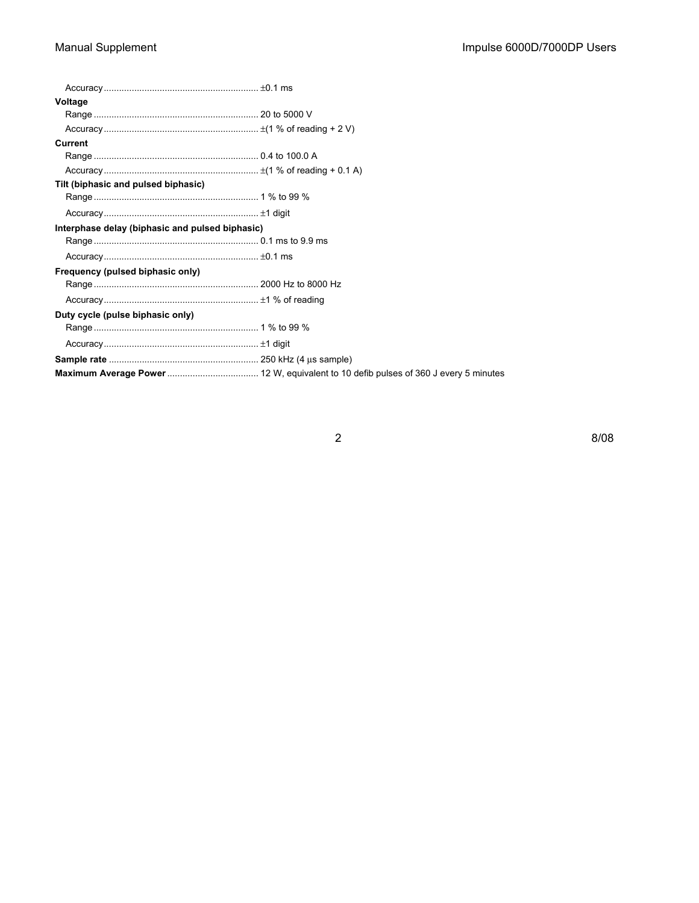| Voltage                                         |  |
|-------------------------------------------------|--|
|                                                 |  |
|                                                 |  |
| <b>Current</b>                                  |  |
|                                                 |  |
|                                                 |  |
| Tilt (biphasic and pulsed biphasic)             |  |
|                                                 |  |
|                                                 |  |
| Interphase delay (biphasic and pulsed biphasic) |  |
|                                                 |  |
|                                                 |  |
| Frequency (pulsed biphasic only)                |  |
|                                                 |  |
|                                                 |  |
| Duty cycle (pulse biphasic only)                |  |
|                                                 |  |
|                                                 |  |
|                                                 |  |
|                                                 |  |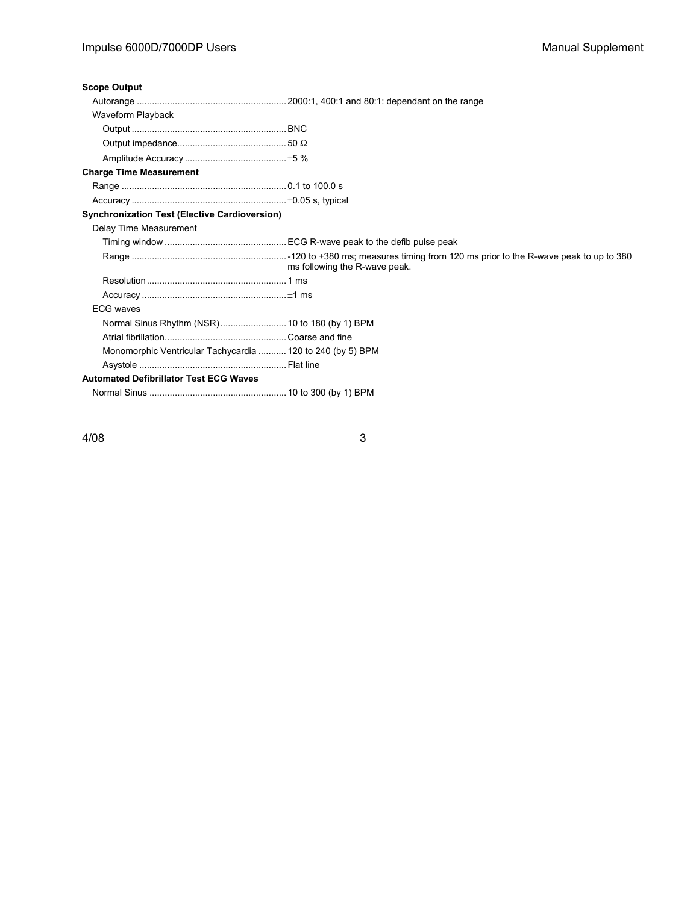### Impulse 6000D/7000DP Users Manual Supplement

#### **Scope Output**

| Waveform Playback                                          |                               |
|------------------------------------------------------------|-------------------------------|
|                                                            |                               |
|                                                            |                               |
|                                                            |                               |
| <b>Charge Time Measurement</b>                             |                               |
|                                                            |                               |
|                                                            |                               |
| <b>Synchronization Test (Elective Cardioversion)</b>       |                               |
| Delay Time Measurement                                     |                               |
|                                                            |                               |
|                                                            | ms following the R-wave peak. |
|                                                            |                               |
|                                                            |                               |
| <b>ECG waves</b>                                           |                               |
| Normal Sinus Rhythm (NSR) 10 to 180 (by 1) BPM             |                               |
|                                                            |                               |
| Monomorphic Ventricular Tachycardia  120 to 240 (by 5) BPM |                               |
|                                                            |                               |
| <b>Automated Defibrillator Test ECG Waves</b>              |                               |

Normal Sinus ...................................................... 10 to 300 (by 1) BPM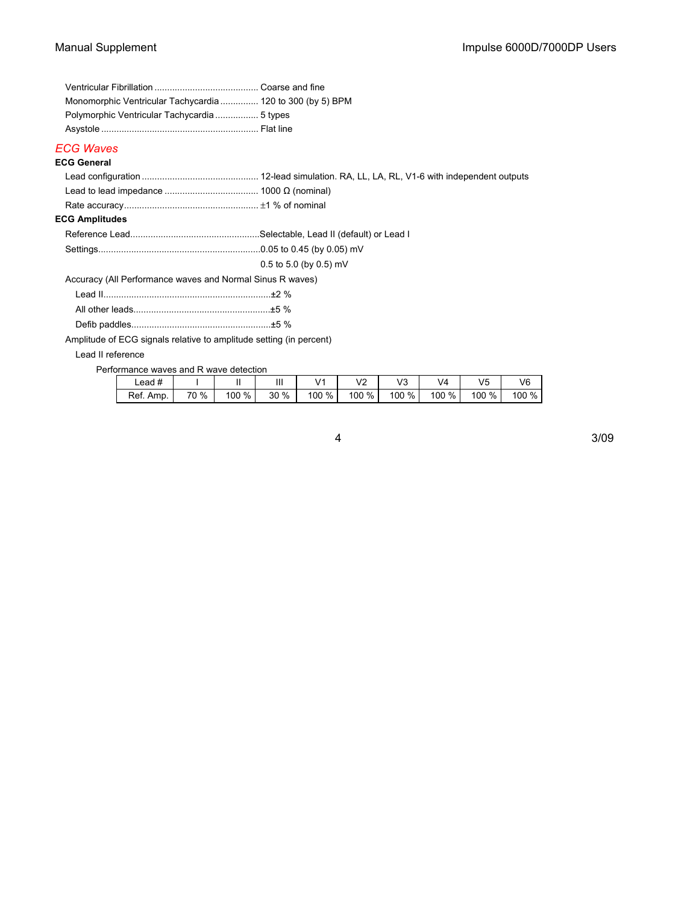| Monomorphic Ventricular Tachycardia  120 to 300 (by 5) BPM |  |
|------------------------------------------------------------|--|
|                                                            |  |
|                                                            |  |
| ECG Waves                                                  |  |

#### **ECG General**

| <b>ECG Amplitudes</b>                                     |                          |
|-----------------------------------------------------------|--------------------------|
|                                                           |                          |
|                                                           |                          |
|                                                           | $0.5$ to 5.0 (by 0.5) mV |
| Accuracy (All Performance waves and Normal Sinus R waves) |                          |
|                                                           |                          |

Amplitude of ECG signals relative to amplitude setting (in percent)

Lead II reference

Performance waves and R wave detection

| $\textcolor{red}{\textsf{lead}}$ # |      |       |      | $\overline{14}$ | $\overline{\phantom{a}}$<br>∼<br>- - | $\sqrt{2}$<br>ں | V4    | V5    | V6    |
|------------------------------------|------|-------|------|-----------------|--------------------------------------|-----------------|-------|-------|-------|
| Ref.<br>Amp.                       | 70 % | 100 % | 30 % | %<br>100        | 100 %                                | 100 %           | 100 % | 100 % | 100 % |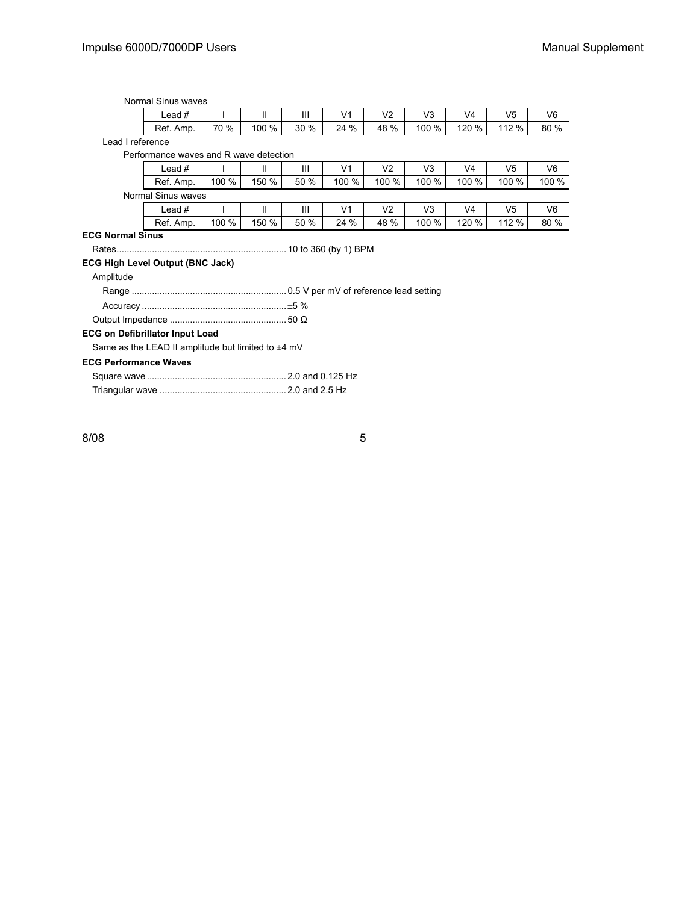#### Normal Sinus waves

| ∟ead #    |      |       | Ш    | $\overline{14}$<br>v | $\sqrt{2}$ | VЗ    | V4    | V5    | V6   |
|-----------|------|-------|------|----------------------|------------|-------|-------|-------|------|
| Ref. Amp. | 70 % | 100 % | 30 % | 24 %                 | 48 %       | 100 % | 120 % | 112 % | 80 % |

Lead I reference

#### Performance waves and R wave detection

| $\overline{u}$<br>∟ead # |       |          | Ш    | $\sqrt{4}$ | $\sqrt{2}$ | $\sqrt{2}$<br>◡ | V4    | √5    | V6    |
|--------------------------|-------|----------|------|------------|------------|-----------------|-------|-------|-------|
| Ref.<br>Amp.             | 100 % | %<br>150 | 50 % | 100 %      | 100 %      | 100 %           | 100 % | 100 % | 100 % |

#### Normal Sinus waves

| ∟ead #    |       |       | Ш       | V <sub>1</sub> | $\sqrt{2}$ | V3<br>≀∿ | V4    | V5    | V6   |
|-----------|-------|-------|---------|----------------|------------|----------|-------|-------|------|
| Ref. Amp. | 100 % | 150 % | %<br>50 | 24 %           | 48 %       | 100 %    | 120 % | 112 % | 80 % |

#### **ECG Normal Sinus**

Rates................................................................... 10 to 360 (by 1) BPM

#### **ECG High Level Output (BNC Jack)**

#### Amplitude

#### **ECG on Defibrillator Input Load**

Same as the LEAD II amplitude but limited to  $\pm 4$  mV

#### **ECG Performance Waves**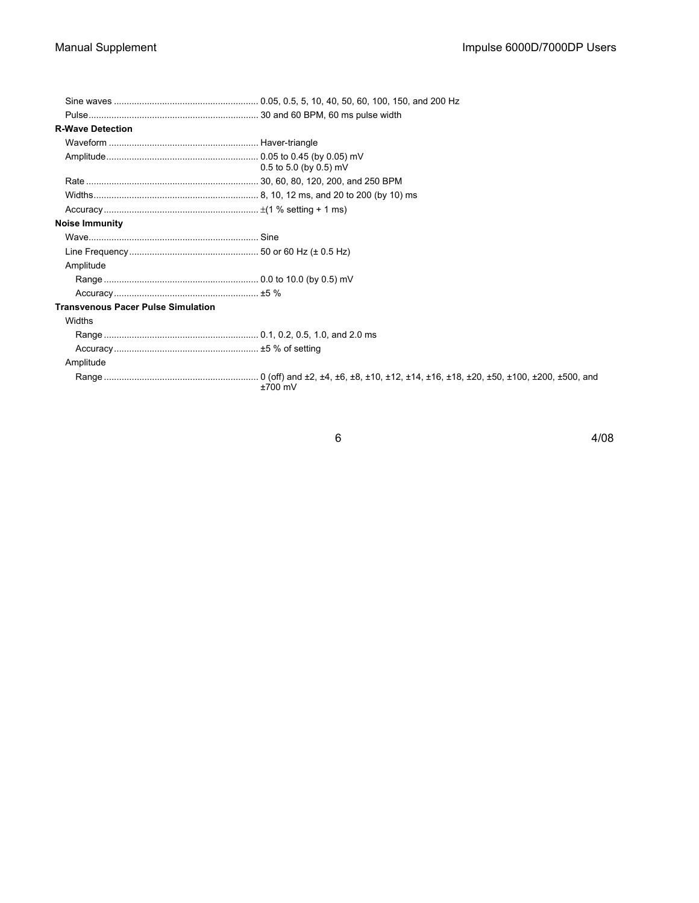| <b>R-Wave Detection</b>                   |                          |
|-------------------------------------------|--------------------------|
|                                           |                          |
|                                           | $0.5$ to 5.0 (by 0.5) mV |
|                                           |                          |
|                                           |                          |
|                                           |                          |
| <b>Noise Immunity</b>                     |                          |
|                                           |                          |
|                                           |                          |
| Amplitude                                 |                          |
|                                           |                          |
|                                           |                          |
| <b>Transvenous Pacer Pulse Simulation</b> |                          |
| Widths                                    |                          |
|                                           |                          |
|                                           |                          |
| Amplitude                                 |                          |
|                                           | $±700$ mV                |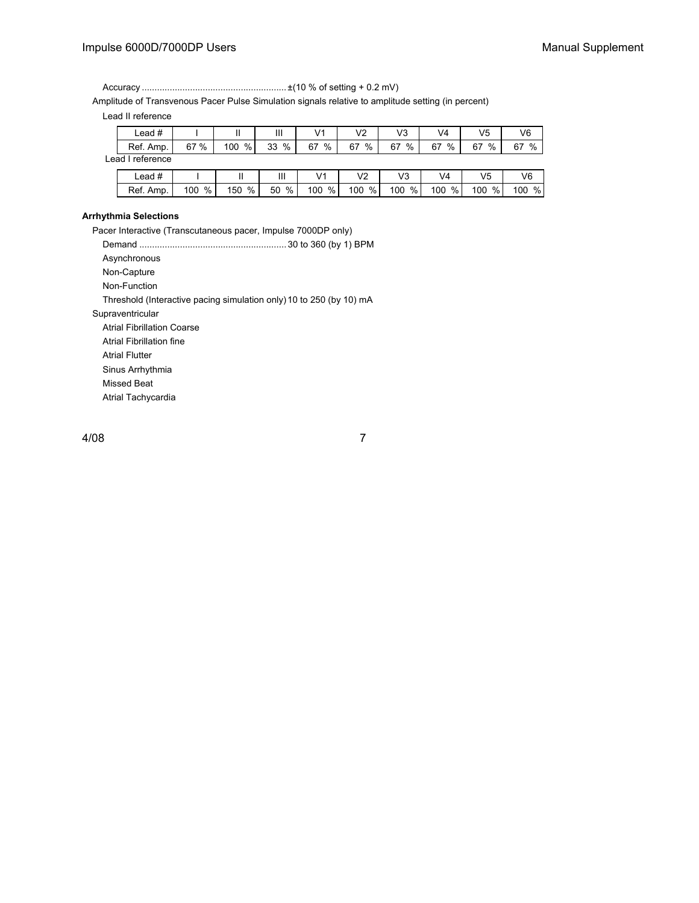#### Impulse 6000D/7000DP Users Manual Supplement

Accuracy ......................................................... ±(10 % of setting + 0.2 mV)

Amplitude of Transvenous Pacer Pulse Simulation signals relative to amplitude setting (in percent)

Lead II reference

| ∟ead #    |      |          | Ш          | V <sub>1</sub> | $\sqrt{2}$ | V3      | V4      | V5      | V6      |
|-----------|------|----------|------------|----------------|------------|---------|---------|---------|---------|
| Ref. Amp. | 67 % | %<br>100 | $\%$<br>33 | %<br>67        | %<br>67    | %<br>67 | 67<br>% | 67<br>% | %<br>67 |

Lead I reference

| $\textcolor{red}{\textsf{\small -ead}}$ # |     |     | Ш  |     | $\sqrt{2}$ | $\sqrt{2}$<br>ັ | 74  | V5  | V6  |
|-------------------------------------------|-----|-----|----|-----|------------|-----------------|-----|-----|-----|
| Ref. Amp.                                 | %   | %   | %  | %   | %          | %               | 100 | %   | %   |
|                                           | 100 | 150 | 50 | 100 | 100        | 100             | %.  | 100 | 100 |

#### **Arrhythmia Selections**

Pacer Interactive (Transcutaneous pacer, Impulse 7000DP only)

Demand .......................................................... 30 to 360 (by 1) BPM

Asynchronous

Non-Capture

Non-Function

Threshold (Interactive pacing simulation only)10 to 250 (by 10) mA

Supraventricular

Atrial Fibrillation Coarse

Atrial Fibrillation fine

Atrial Flutter

Sinus Arrhythmia

Missed Beat

Atrial Tachycardia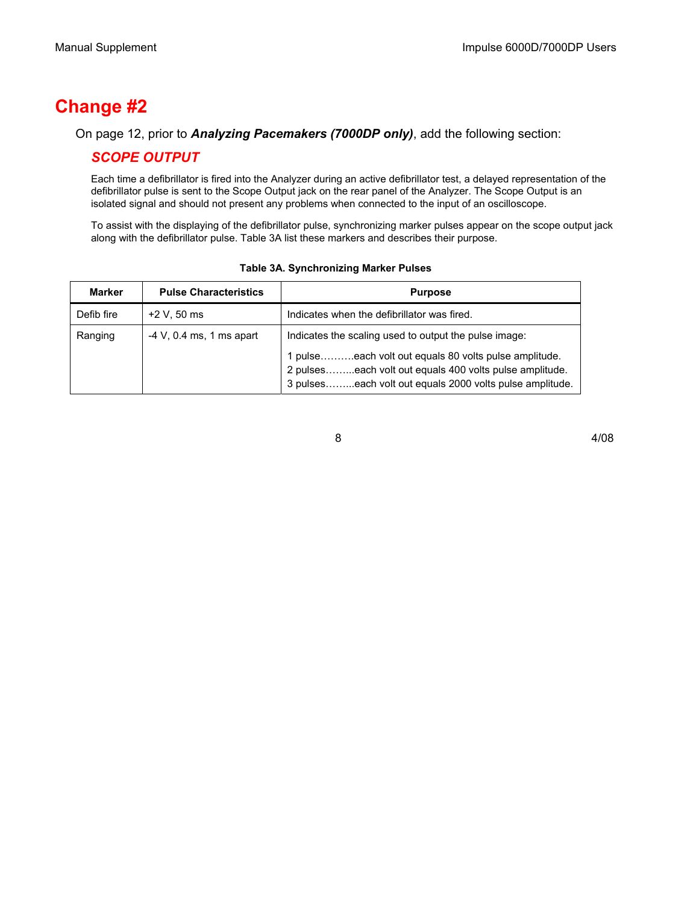## **Change #2**

### On page 12, prior to *Analyzing Pacemakers (7000DP only)*, add the following section:

### *SCOPE OUTPUT*

Each time a defibrillator is fired into the Analyzer during an active defibrillator test, a delayed representation of the defibrillator pulse is sent to the Scope Output jack on the rear panel of the Analyzer. The Scope Output is an isolated signal and should not present any problems when connected to the input of an oscilloscope.

To assist with the displaying of the defibrillator pulse, synchronizing marker pulses appear on the scope output jack along with the defibrillator pulse. Table 3A list these markers and describes their purpose.

| Marker     | <b>Pulse Characteristics</b> | <b>Purpose</b>                                                                                                                                                               |
|------------|------------------------------|------------------------------------------------------------------------------------------------------------------------------------------------------------------------------|
| Defib fire | $+2$ V, 50 ms                | Indicates when the defibrillator was fired.                                                                                                                                  |
| Ranging    | $-4$ V, 0.4 ms, 1 ms apart   | Indicates the scaling used to output the pulse image:                                                                                                                        |
|            |                              | 1 pulseeach volt out equals 80 volts pulse amplitude.<br>2 pulseseach volt out equals 400 volts pulse amplitude.<br>3 pulseseach volt out equals 2000 volts pulse amplitude. |

### **Table 3A. Synchronizing Marker Pulses**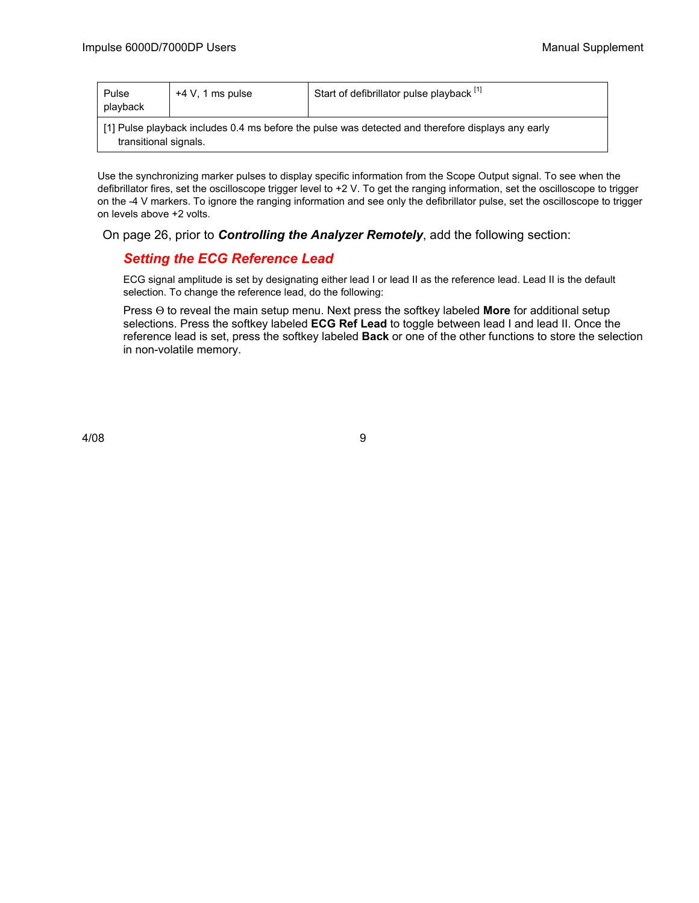| Pulse<br>playback | $+4$ V, 1 ms pulse                                                                                                         | Start of defibrillator pulse playback [1] |  |  |  |  |
|-------------------|----------------------------------------------------------------------------------------------------------------------------|-------------------------------------------|--|--|--|--|
|                   | [1] Pulse playback includes 0.4 ms before the pulse was detected and therefore displays any early<br>transitional signals. |                                           |  |  |  |  |

Use the synchronizing marker pulses to display specific information from the Scope Output signal. To see when the defibrillator fires, set the oscilloscope trigger level to +2 V. To get the ranging information, set the oscilloscope to trigger on the -4 V markers. To ignore the ranging information and see only the defibrillator pulse, set the oscilloscope to trigger on levels above +2 volts.

On page 26, prior to *Controlling the Analyzer Remotely*, add the following section:

### *Setting the ECG Reference Lead*

ECG signal amplitude is set by designating either lead I or lead II as the reference lead. Lead II is the default selection. To change the reference lead, do the following:

Press Θ to reveal the main setup menu. Next press the softkey labeled **More** for additional setup selections. Press the softkey labeled **ECG Ref Lead** to toggle between lead I and lead II. Once the reference lead is set, press the softkey labeled **Back** or one of the other functions to store the selection in non-volatile memory.